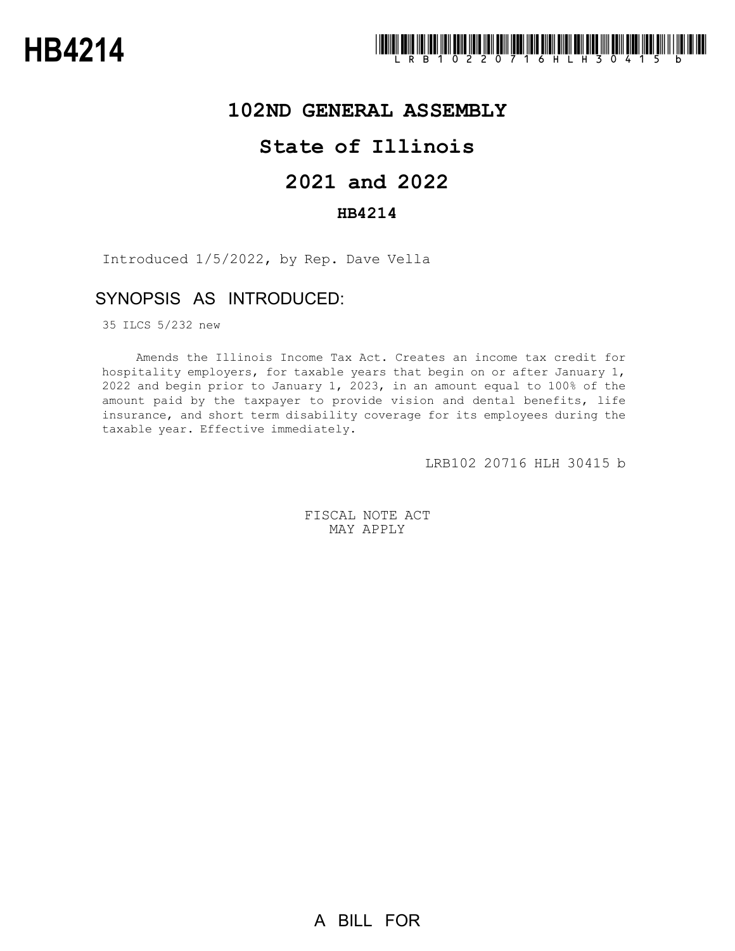

## **102ND GENERAL ASSEMBLY**

## **State of Illinois**

# **2021 and 2022**

### **HB4214**

Introduced 1/5/2022, by Rep. Dave Vella

## SYNOPSIS AS INTRODUCED:

35 ILCS 5/232 new

Amends the Illinois Income Tax Act. Creates an income tax credit for hospitality employers, for taxable years that begin on or after January 1, 2022 and begin prior to January 1, 2023, in an amount equal to 100% of the amount paid by the taxpayer to provide vision and dental benefits, life insurance, and short term disability coverage for its employees during the taxable year. Effective immediately.

LRB102 20716 HLH 30415 b

FISCAL NOTE ACT MAY APPLY

A BILL FOR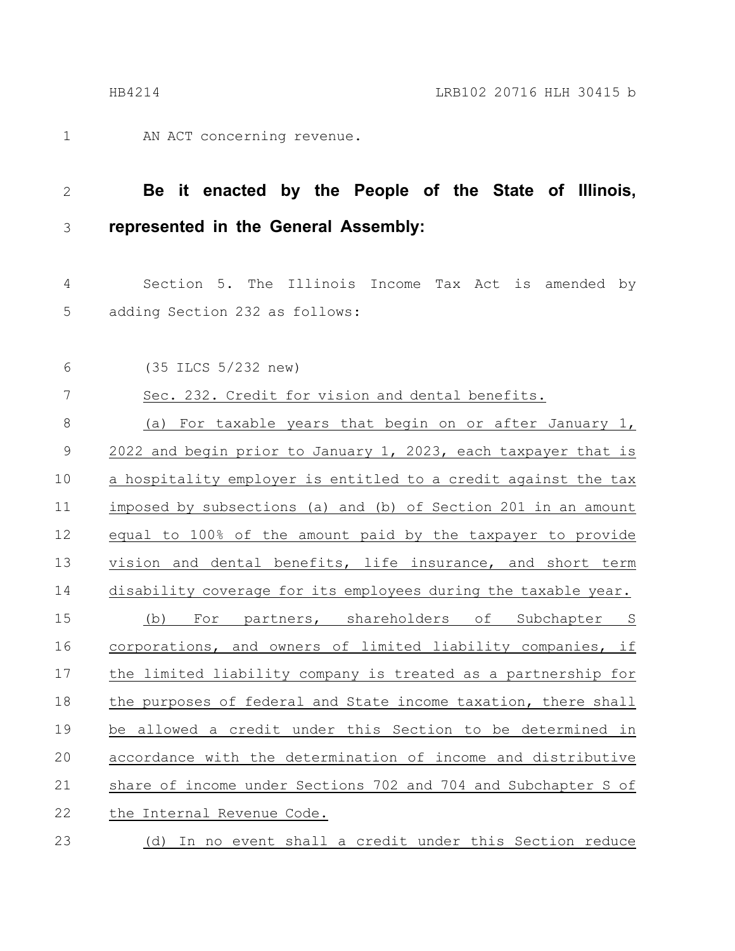AN ACT concerning revenue. 1

**Be it enacted by the People of the State of Illinois, represented in the General Assembly:** 2 3

Section 5. The Illinois Income Tax Act is amended by adding Section 232 as follows: 4 5

6

(35 ILCS 5/232 new)

Sec. 232. Credit for vision and dental benefits. 7

(a) For taxable years that begin on or after January 1, 2022 and begin prior to January 1, 2023, each taxpayer that is a hospitality employer is entitled to a credit against the tax imposed by subsections (a) and (b) of Section 201 in an amount equal to 100% of the amount paid by the taxpayer to provide vision and dental benefits, life insurance, and short term disability coverage for its employees during the taxable year. (b) For partners, shareholders of Subchapter S corporations, and owners of limited liability companies, if the limited liability company is treated as a partnership for the purposes of federal and State income taxation, there shall be allowed a credit under this Section to be determined in accordance with the determination of income and distributive share of income under Sections 702 and 704 and Subchapter S of the Internal Revenue Code. 8 9 10 11 12 13 14 15 16 17 18 19 20 21 22

(d) In no event shall a credit under this Section reduce 23